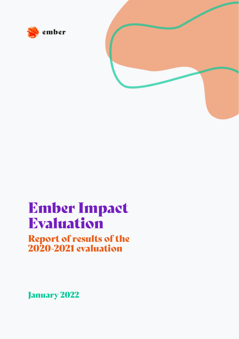



# Ember Impact Evaluation

# Report of results of the 2020-2021 evaluation

January 2022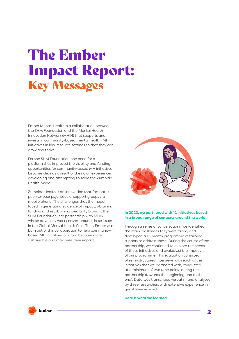# The Ember Impact Report: Key Messages

Ember Mental Health is a collaboration between the SHM Foundation and the Mental Health Innovation Network (MHIN) that supports and invests in community-based mental health (MH) initiatives in low-resource settings so that they can grow and thrive.

For the SHM Foundation, the need for a platform that improved the visibility and funding opportunities for community-based MH initiatives became clear as a result of their own experiences developing and attempting to scale the Zumbido Health Model.

Zumbido Health is an innovation that facilitates peer-to-peer psychosocial support groups via mobile phone. The challenges that the model faced in generating evidence of impact, obtaining funding and establishing credibility brought the SHM Foundation into partnership with MHIN, whose advocacy work centres around these issues in the Global Mental Health field. Thus, Ember was born out of this collaboration to help communitybased MH initiatives to grow, become more sustainable and maximise their impact.



#### **In 2020, we partnered with 12 initiatives based in a broad range of contexts around the world.**

Through a series of conversations, we identified the main challenges they were facing and developed a 12-month programme of tailored support to address these. During the course of the partnership, we continued to explore the needs of these initiatives and evaluated the impact of our programme. This evaluation consisted of semi-structured interviews with each of the initiatives that we partnered with, conducted at a minimum of two time points during the partnership (towards the beginning and at the end). Data was transcribed verbatim and analysed by three researchers with extensive experience in qualitative research.

#### **Here is what we learned.**

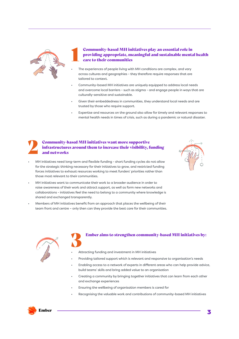

# **1 Community-based MH initiatives play an essential role in providing appropriate, meaningful and sustainable mental care to their communities** providing appropriate, meaningful and sustainable mental health care to their communities

- The experiences of people living with MH conditions are complex, and vary across cultures and geographies - they therefore require responses that are tailored to context.
- Community-based MH initiatives are uniquely equipped to address local needs and overcome local barriers - such as stigma - and engage people in ways that are culturally-sensitive and sustainable.
- Given their embeddedness in communities, they understand local needs and are trusted by those who require support.
- Expertise and resources on the ground also allow for timely and relevant responses to mental health needs in times of crisis, such as during a pandemic or natural disaster.

# **2 Community-based MH initiatives want more supportive**<br>infrastructures around them to increase their visibility, f<br>and networks infrastructures around them to increase their visibility, funding and networks

• MH initiatives need long-term and flexible funding - short funding cycles do not allow for the strategic thinking necessary for their initiatives to grow, and restricted funding forces initiatives to exhaust resources working to meet funders' priorities rather than those most relevant to their communities.



- MH initiatives want to communicate their work to a broader audience in order to raise awareness of their work and attract support, as well as form new networks and collaborations - initiatives feel the need to belong to a community where knowledge is shared and exchanged transparently.
- Members of MH initiatives benefit from an approach that places the wellbeing of their team front and centre – only then can they provide the best care for their communities.



### 3 Ember aims to strengthen community-based MH initiatives by:

- Attracting funding and investment in MH initiatives
- Providing tailored support which is relevant and responsive to organisation's needs
- Enabling access to a network of experts in different areas who can help provide advice, build teams' skills and bring added value to an organisation
- Creating a community by bringing together initiatives that can learn from each other and exchange experiences
- Ensuring the wellbeing of organisation members is cared for
- Recognising the valuable work and contributions of community-based MH initiatives

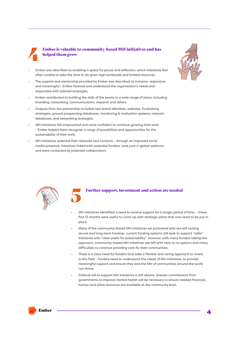

# 4 Ember is valuable to community-based MH initiatives and has helped them grow

- Ember was described as enabling a space for pause and reflection, which initiatives feel often unable to take the time to do given high workloads and limited resources.
- The support and mentorship provided by Ember was described as inclusive, responsive, and meaningful - Ember listened and understood the organisation's needs and responded with tailored strategies.
- Ember contributed to building the skills of the teams in a wide range of areas, including branding, networking, communications, research and others.
- Outputs from the partnership included new brand identities, websites, fundraising strategies, ground prospecting databases, monitoring & evaluation systems, network databases, and networking strategies.
- MH initiatives felt empowered and more confident to continue growing their work - Ember helped them recognise a range of possibilities and opportunities for the sustainability of their work.
- MH initiatives widened their networks and contacts through an improved social media presence, initiatives linked with potential funders, took part in global webinars and were contacted by potential collaborators.





#### 5 Further support, investment and action are needed

- MH initiatives identified a need to receive support for a longer period of time, these first 12 months were useful to come up with strategic plans that now need to be put in place.
- Many of the community-based MH initiatives we partnered with are still lacking secure and long-term funding- current funding systems still seek to support "safer" initiatives with "clear paths for sustainability". However, with many funders taking this approach, community-based MH initiatives are left with near to no options and many difficulties to continue providing care for their communities.
- There is a clear need for funders that take a flexible and caring approach to invest in this field - funders need to understand the needs of MH initiatives, to provide meaningful support and ensure they and the MH of communities around the world can thrive.
- Political will to support MH initiatives is still absent. Greater commitment from governments to improve mental health will be necessary to ensure needed financial, human and other resources are available at the community level.

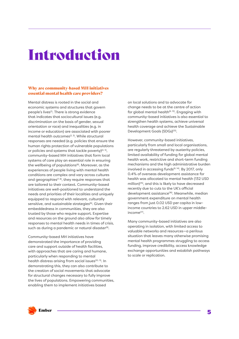# Introduction

# Why are community-based MH initiatives essential mental health care providers?

Mental distress is rooted in the social and economic systems and structures that govern people's lives(1). There is strong evidence that indicates that sociocultural issues (e.g. discrimination on the basis of gender, sexual orientation or race) and inequalities (e.g. in income or education) are associated with poorer mental health outcomes<sup> $(2, 3)$ </sup>. While structural responses are needed (e.g. policies that ensure the human rights protection of vulnerable populations or policies and systems that tackle poverty) $(4, 5)$ , community-based MH initiatives that form local systems of care play an essential role in ensuring the wellbeing of populations<sup>(6)</sup>. Moreover, as the experiences of people living with mental health conditions are complex and vary across cultures and geographies<sup> $(7, 8)$ </sup>, they require responses that are tailored to their context. Community-based initiatives are well-positioned to understand the needs and priorities of their localities and uniquely equipped to respond with relevant, culturally sensitive, and sustainable strategies<sup>(6)</sup>. Given their embeddedness in communities, they are also trusted by those who require support. Expertise and resources on the ground also allow for timely responses to mental health needs in times of crisis, such as during a pandemic or natural disaster<sup>(9)</sup>.

Community-based MH initiatives have demonstrated the importance of providing care and support outside of health facilities, with approaches that are caring and humane, particularly when responding to mental health distress arising from social issues<sup>(10, 11)</sup>. In demonstrating this, they can also contribute to the creation of social movements that advocate for structural changes necessary to fully improve the lives of populations. Empowering communities, enabling them to implement initiatives based

on local solutions and to advocate for change needs to be at the centre of action for global mental health $(6, 12)$ . Engaging with community-based initiatives is also essential to strengthen health systems, achieve universal health coverage and achieve the Sustainable Development Goals (SDGs)<sup>(13)</sup>.

However, community-based initiatives, particularly from small and local organisations, are regularly threatened by austerity policies, limited availability of funding for global mental health work, restrictive and short-term funding mechanisms and the high administrative burden involved in accessing funds<sup>(6, 14)</sup>. By 2017, only 0.4% of overseas development assistance for health was allocated to mental health (132 USD million)(15), and this is likely to have decreased recently due to cuts to the UK's official development assistance(16). Meanwhile, median government expenditure on mental health ranges from just 0.02 USD per capita in lowincome countries to 2.62 USD in upper middleincome(17).

Many community-based initiatives are also operating in isolation, with limited access to valuable networks and resources—a perilous situation that leaves many otherwise promising mental health programmes struggling to access funding, improve credibility, access knowledge exchange opportunities and establish pathways to scale or replication.

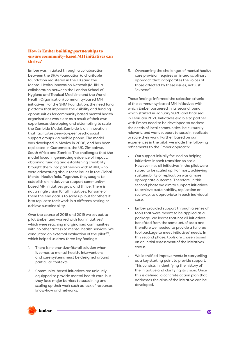# How is Ember building partnerships to ensure community-based MH initiatives can thrive?

Ember was initiated through a collaboration between the SHM Foundation (a charitable foundation registered in the UK) and the Mental Health Innovation Network (MHIN, a collaboration between the London School of Hygiene and Tropical Medicine and the World Health Organisation) community-based MH initiatives. For the SHM Foundation, the need for a platform that improved the visibility and funding opportunities for community based mental health organisations was clear as a result of their own experiences developing and attempting to scale the Zumbido Model. Zumbido is an innovation that facilitates peer-to-peer psychosocial support groups via mobile phone. The model was developed in Mexico in 2008, and has been replicated in Guatemala, the UK, Zimbabwe, South Africa and Zambia. The challenges that the model faced in generating evidence of impact, obtaining funding and establishing credibility brought them into partnership with MHIN, who were advocating about these issues in the Global Mental Health field. Together, they sought to establish an initiative to support communitybased MH initiatives grow and thrive. There is not a single vision for all initiatives: for some of them the end goal is to scale up, but for others it is to replicate their work in a different setting or achieve sustainability.

Over the course of 2018 and 2019 we set out to pilot Ember and worked with four initiatives<sup>1</sup>, which were reaching marginalised communities with no other access to mental health services. We conducted an external evaluation of the pilot<sup>(18)</sup>, which helped us draw three key findings:

- 1. There is no one-size-fits-all solution when it comes to mental health. Interventions and care systems must be designed around particular contexts.
- 2. Community-based initiatives are uniquely equipped to provide mental health care, but they face major barriers to sustaining and scaling up their work such as lack of resources, know-how and networks.

3. Overcoming the challenges of mental health care provision requires an interdisciplinary approach that incorporates the voices of those affected by these issues, not just "experts".

These findings informed the selection criteria of the community-based MH initiatives with which Ember partnered in its second round, which started in January 2020 and finalised in February 2021. Initiatives eligible to partner with Ember need to be developed to address the needs of local communities, be culturally relevant, and want support to sustain, replicate or scale their work. Further, based on our experiences in the pilot, we made the following refinements to the Ember approach:

- Our support initially focused on helping initiatives in their transition to scale. However, not all initiatives in the pilot were suited to be scaled up. For most, achieving sustainability or replication was a more appropriate outcome. Therefore, in this second phase we aim to support initiatives to achieve sustainability, replication or scale-up, as appropriate in each individual case.
- Ember provided support through a series of tools that were meant to be applied as a package. We learnt that not all initiatives benefited from the same set of tools and therefore we needed to provide a tailored tool package to meet initiatives' needs. In this second phase, tools are chosen based on an initial assessment of the initiatives' status.
- We identified improvements in storytelling as a key starting point to provide support. This consists in identifying the history of the initiative and clarifying its vision. Once this is defined, a concrete action plan that addresses the aims of the initiative can be developed.

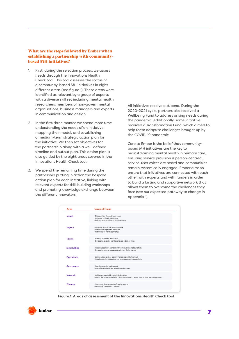# What are the steps followed by Ember when establishing a partnership with communitybased MH initiatives?

- 1. First, during the selection process, we assess needs through the Innovations Health Check tool. This tool assesses the status of a community-based MH initiatives in eight different areas (see figure 1). These areas were identified as relevant by a group of experts with a diverse skill set including mental health researchers, members of non-governmental organisations, business managers and experts in communication and design.
- 2. In the first three months we spend more time understanding the needs of an initiative, mapping their model, and establishing a medium-term strategic action plan for the initiative. We then set objectives for the partnership along with a well-defined timeline and output plan. This action plan is also guided by the eight areas covered in the Innovations Health Check tool.
- 3. We spend the remaining time during the partnership putting in action the bespoke action plan for each initiative, linking with relevant experts for skill-building workshops and promoting knowledge exchange between the different innovators.

All initiatives receive a stipend. During the 2020-2021 cycle, partners also received a Wellbeing Fund to address arising needs during the pandemic. Additionally, some initiative received a Transformation Fund, which aimed to help them adapt to challenges brought up by the COVID-19 pandemic.

Core to Ember is the belief that communitybased MH initiatives are the key to mainstreaming mental health in primary care, ensuring service provision is person-centred, service-user voices are heard and communities remain systemically engaged. Ember aims to ensure that initiatives are connected with each other, with experts and with funders in order to build a lasting and supportive network that allows them to overcome the challenges they face (see our expected pathway to change in Appendix 1).

| Area              | <b>Areas of focus</b>                                                                                                                                 |  |  |  |
|-------------------|-------------------------------------------------------------------------------------------------------------------------------------------------------|--|--|--|
| Model             | - Distinguishing the model's principles<br>- Preparing for future adaptations<br>- Building financial infrastructure for scale-up                     |  |  |  |
| Impact            | - Modelling an effective M&E framework<br>- Communicating impact effectively<br>- Publishing the initiative's findings                                |  |  |  |
| Vision            | - Defining a vision for the initiative<br>- Developing an action plan to achieve the defined vision                                                   |  |  |  |
| Storytelling      | - Creating a cohesive brand identity, across various media platforms<br>- Developing communication strategies and design training                     |  |  |  |
| <b>Operations</b> | - Linking with experts to identify the necessary skills for growth<br>- Creating training models that can be implemented independently                |  |  |  |
| Governance        | - Sourcing essential legal support<br>- Obtaining regulation and governance documents                                                                 |  |  |  |
| <b>Network</b>    | - Cultivating sustainable global collaborations<br>- Connecting initiatives to Ember's extensive network of researchers, funders, and policy partners |  |  |  |
| <b>Finance</b>    | - Supporting their pre-existing financial systems<br>- Developing knowledge of auditing                                                               |  |  |  |

**Figure 1. Areas of assessment of the Innovations Health Check tool**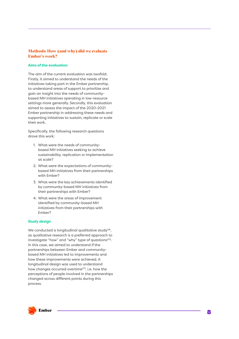# Methods: How (and why) did we evaluate Ember's work?

#### **Aims of the evaluation**

The aim of the current evaluation was twofold. Firstly, it aimed to understand the needs of the initiatives taking part in the Ember partnership, to understand areas of support to prioritise and gain an insight into the needs of communitybased MH initiatives operating in low-resource settings more generally. Secondly, this evaluation aimed to assess the impact of the 2020-2021 Ember partnership in addressing these needs and supporting initiatives to sustain, replicate or scale their work.

Specifically, the following research questions drove this work:

- 1. What were the needs of communitybased MH initiatives seeking to achieve sustainability, replication or implementation at scale?
- 2. What were the expectations of communitybased MH initiatives from their partnerships with Ember?
- 3. What were the key achievements identified by community-based MH initiatives from their partnerships with Ember?
- 4. What were the areas of improvement identified by community-based MH initiatives from their partnerships with Ember?

#### **Study design**

We conducted a longitudinal qualitative study<sup>(19)</sup>, as qualitative research is a preferred approach to investigate "how" and "why" type of questions<sup>(20)</sup>. In this case, we aimed to understand if the partnerships between Ember and communitybased MH initiatives led to improvements and how these improvements were achieved. A longitudinal design was used to understand how changes occurred overtime<sup>(21)</sup>, i.e. how the perceptions of people involved in the partnerships changed across different points during this process.

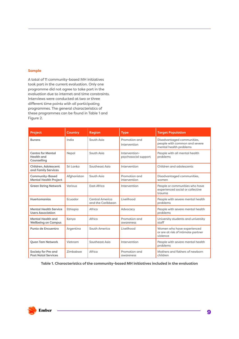#### **Sample**

A total of 11 community-based MH initiatives took part in the current evaluation. Only one programme did not agree to take part in the evaluation due to internet and time constraints. Interviews were conducted at two or three different time points with all participating programmes. The general characteristics of these programmes can be found in Table 1 and Figure 2.

| <b>Project</b>                                               | <b>Country</b> | <b>Region</b>                        | <b>Type</b>                           | <b>Target Population</b>                                                              |
|--------------------------------------------------------------|----------------|--------------------------------------|---------------------------------------|---------------------------------------------------------------------------------------|
| <b>Burans</b>                                                | India          | South Asia                           | Promotion and<br>Intervention         | Disadvantaged communities,<br>people with common and severe<br>mental health problems |
| <b>Centre for Mental</b><br><b>Health</b> and<br>Counselling | Nepal          | South Asia                           | Intervention-<br>psychosocial support | People with all mental health<br>problems                                             |
| Children, Adolescent<br>and Family Services                  | Sri Lanka      | Southeast Asia                       | Intervention                          | Children and adolescents                                                              |
| <b>Community-Based</b><br><b>Mental Health Project</b>       | Afghanistan    | South Asia                           | Promotion and<br>intervention         | Disadvantaged communities,<br>women                                                   |
| <b>Green String Network</b>                                  | Various        | East Africa                          | Intervention                          | People or communities who have<br>experienced social or collective<br>trauma          |
| Huertomanías                                                 | Ecuador        | Central America<br>and the Caribbean | Livelihood                            | People with severe mental health<br>problems                                          |
| <b>Mental Health Service</b><br><b>Users Association</b>     | Ethiopia       | Africa                               | Advocacy                              | People with severe mental health<br>problems                                          |
| <b>Mental Health and</b><br><b>Wellbeing on Campus</b>       | Kenya          | Africa                               | Promotion and<br>awareness            | University students and university<br>staff                                           |
| Punto de Encuentro                                           | Argentina      | South America                        | Livelihood                            | Women who have experienced<br>or are at risk of intimate partner<br>violence          |
| <b>Ouan Tam Network</b>                                      | Vietnam        | Southeast Asia                       | Intervention                          | People with severe mental health<br>problems                                          |
| Society for Pre and<br><b>Post Natal Services</b>            | Zimbabwe       | Africa                               | Promotion and<br>awareness            | Mothers and fathers of newborn<br>children                                            |

**Table 1. Characteristics of the community-based MH initiatives included in the evaluation**

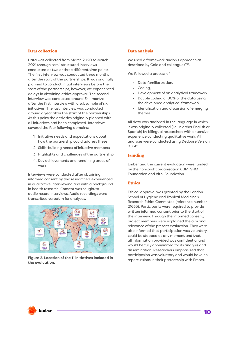### Data collection

Data was collected from March 2020 to March 2021 through semi-structured interviews conducted at two or three different time points. The first interview was conducted three months after the start of the partnerships. It was originally planned to conduct initial interviews before the start of the partnerships, however, we experienced delays in obtaining ethics approval. The second interview was conducted around 3-4 months after the first interview with a subsample of six initiatives. The last interview was conducted around a year after the start of the partnerships. At this point the activities originally planned with all initiatives had been completed. Interviews covered the four following domains:

- 1. Initiative needs and expectations about how the partnership could address these
- 2. Skills-building needs of initiative members
- 3. Highlights and challenges of the partnership
- 4. Key achievements and remaining areas of work

Interviews were conducted after obtaining informed consent by two researchers experienced in qualitative interviewing and with a background in health research. Consent was sought to audio record interviews. Audio recordings were transcribed verbatim for analyses.



Figure 2. Location of the 11 initiatives included in **Figure 2. Location of the 11 initiatives included in** *Fepercussions* in their partnership with Ember. **the evaluation.**

### Data analysis

We used a framework analysis approach as described by Gale and colleagues<sup>(22)</sup>.

We followed a process of

- Data familiarization,
- Coding,
- Development of an analytical framework,
- Double coding of 80% of the data using the developed analytical framework,
- Identification and discussion of emerging themes.

All data was analysed in the language in which it was originally collected (i.e. in either English or Spanish) by bilingual researchers with extensive experience conducting qualitative work. All analyses were conducted using Dedoose Version 8.3.45.

### Funding

Ember and the current evaluation were funded by the non-profit organisation CBM, SHM Foundation and Vitol Foundation.

### **Ethics**

Ethical approval was granted by the London School of Hygiene and Tropical Medicine's Research Ethics Committee (reference number 21665). Participants were required to provide written informed consent prior to the start of the interview. Through the informed consent, project members were explained the aim and relevance of the present evaluation. They were also informed that participation was voluntary, could be stopped at any moment and that all information provided was confidential and would be fully anonymized for its analysis and dissemination. Researchers emphasized that participation was voluntary and would have no

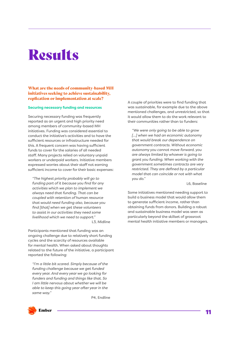# **Results**

# What are the needs of community-based MH initiatives seeking to achieve sustainability, replication or implementation at scale?

#### **Securing necessary funding and resources**

Securing necessary funding was frequently reported as an urgent and high priority need among members of community-based MH initiatives. Funding was considered essential to conduct the initiative's activities and to have the sufficient resources or infrastructure needed for this. A frequent concern was having sufficient funds to cover for the salaries of all needed staff. Many projects relied on voluntary unpaid workers or underpaid workers. Initiative members expressed worries about their staff not earning sufficient income to cover for their basic expenses:

*"The highest priority probably will go to funding part of it because you find for any activities which we plan to implement we always need that funding. That can be coupled with retention of human resource that would need funding also, because you find [that] when we get these volunteers to assist in our activities they need some livelihood which we need to support."*

L3, Midline

Participants mentioned that funding was an ongoing challenge due to relatively short funding cycles and the scarcity of resources available for mental health. When asked about thoughts related to the future of the initiative, a participant reported the following:

*"I'm a little bit scared. Simply because of the funding challenge because we get funded every year. And every year we go looking for funders and funding and things like that. So I am little nervous about whether we will be able to keep this going year after year in the same way."*

P4, Endline

A couple of priorities were to find funding that was sustainable, for example due to the above mentioned challenges, and unrestricted, so that it would allow them to do the work relevant to their communities rather than to funders:

*"We were only going to be able to grow […] when we had an economic autonomy that would break our dependence on government contracts. Without economic autonomy you cannot move forward, you are always limited by whoever is going to grant you funding. When working with the government sometimes contracts are very restricted. They are defined by a particular model that can coincide or not with what you do."*

L6, Baseline

Some initiatives mentioned needing support to build a business model that would allow them to generate sufficient income, rather than obtaining funds from donors. Building a robust and sustainable business model was seen as particularly beyond the skillset of grassroot mental health initiative members or managers.

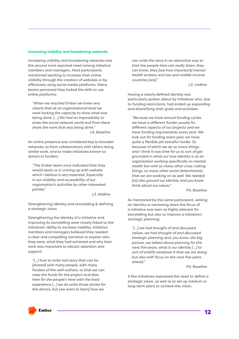#### **Increasing visibility and broadening networks**

Increasing visibility and broadening networks was the second most reported need among initiative members and managers. Most participants mentioned wanting to increase their online visibility through the creation of websites or by effectively using social media platforms. Many teams perceived they lacked the skills to use online platforms:

*"When we reached Ember we knew very clearly that at an organisational level we were lacking the capacity to show what was being done. […] We had an impossibility to enter the social network world and from there share the work that was being done." L6, Baseline*

An online presence was considered key to broaden networks, to form collaborations with others doing similar work, and to make initiatives known to donors or funders:

*"The Ember team once indicated that they would assist us in coming up with website which I believe is very essential. Especially in our visibility and accessibility of our organisation's activities by other interested parties."*

*L3, Midline*

Strengthening identity and storytelling & defining a strategic vision

Strengthening the identity of a initiative and improving its storytelling were closely linked to the initiatives' ability to increase visibility. Initiative members and managers believed they needed a clear and compelling narrative to explain who they were, what they had achieved and why their work was important to attract attention and support:

*"[...] how to write real story that can be [shared] with many people, with many funders of the well-wishers, so that we can raise the funds for the project activities here for the people's here with the lived experience [...] we do write those stories for the donors, but [we want to learn] how we* 

*can write the story in an attractive way so that the people here can really listen, they can know, they [see how important] mental health workers and low and middle income countries [are]."*

*L2, midline*

Having a clearly defined identity was particularly spoken about by initiatives who, due to funding restrictions, had ended up expanding and diversifying their goals and activities:

*"Because we have annual funding cycles, we have a different funder usually for different aspects of our projects and we have funding requirements every year. We look out for funding every year, we have quite a flexible yet stressful model. So because of which we do so many things, and I think it was time for us to sort of get grounded in what our true identity is as an organisation working specifically on mental health but with so many other cross cutting things, so many other social determinants that we are working on as well. We needed [to] also ground our identity and you know think about our values"*

*P4, Baseline*

As mentioned by this same participant, setting an identity or narrowing down the focus of a initiative was seen as highly relevant for storytelling but also to improve a initiative's strategic planning:

*"[…] we had thought of and discussed values, we had thought of and discussed strategic planning and, you know, the big picture, we talked about planning for the next five years, what is our identity […] to sort of solidify whatever it that we are doing but also with focus on the next five years ahead."*

#### *P4, Baseline*

A few initiatives expressed the need to define a strategic vision, as well as to set up medium or long-term plans to achieve this vision.

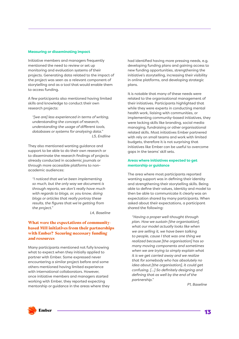#### **Measuring or disseminating impact**

Initiative members and managers frequently mentioned the need to review or set up monitoring and evaluation systems of their projects. Generating data related to the impact of the project was seen as a relevant component of storytelling and as a tool that would enable them to access funding.

A few participants also mentioned having limited skills and knowledge to conduct their own research projects:

*"[we are] less experienced in terms of writing, understanding the concept of research, understanding the usage of different tools, databases or systems for analysing data." L5, Endline*

They also mentioned wanting guidance and support to be able to do their own research or to disseminate the research findings of projects already conducted in academic journals or through more accessible platforms to nonacademic audiences:

*"I noticed that we've been implementing so much, but the only way we document is through reports, we don't really have much with regards to blogs, or, you know, doing blogs or articles that really portray these results, the figures that we're getting from the project."*

*L4, Baseline*

### What were the expectations of communitybased MH initiatives from their partnerships with Ember? Securing necessary funding and resources

Many participants mentioned not fully knowing what to expect when they initially applied to partner with Ember. Some expressed never encountering a similar project before and some others mentioned having limited experience with international collaborators. However, once initiative members and managers started working with Ember, they reported expecting mentorship or guidance in the areas where they had identified having more pressing needs, e.g. developing funding plans and gaining access to new funding opportunities, strengthening the initiative's storytelling, increasing their visibility in online platforms, and developing strategic plans.

It is notable that many of these needs were related to the organisational management of their initiatives. Participants highlighted that while they were experts in conducting mental health work, liaising with communities, or implementing community-based initiatives, they were lacking skills like branding, social media managing, fundraising or other organisational related skills. Most initiatives Ember partnered with rely on small teams and work with limited budgets, therefore it is not surprising that initiatives like Ember can be useful to overcome gaps in the teams' skill sets.

#### **Areas where initiatives expected to get mentorship or guidance**

The area where most participants reported wanting support was in defining their identity and strengthening their storytelling skills. Being able to define their values, identity and model to then be able to communicate it clearly was an expectation shared by many participants. When asked about their expectations, a participant shared the following:

*"Having a proper well-thought through plan. How we sustain [the organisation], what our model actually looks like when we are selling it, we have been talking to people, cause I that was one thing we realized because [the organisation] has so many moving components and sometimes when we are trying to simply explain what it is we get carried away and we realize that for somebody who has absolutely no idea about [the organisation], it could get confusing. […] So definitely designing and defining that as well by the end of the partnership."*

*P1, Baseline*

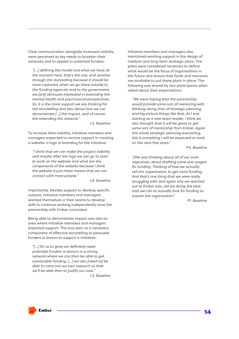Clear communication alongside increased visibility were perceived as key needs to broaden their networks and to appeal to potential funders:

*"[…] defining the model and what we have at the moment here, that's the one, and another through the storytelling because it should be more captured, when we go there outside to the funding agencies and to the government, we [are] obviously interested in extending the mental health and psychosocial perspectives. So, it is the more support we are thinking for the storytelling and also about how we can demonstrate […] the impact, and of course, the extending the network."* 

*L2, Baseline*

To increase their visibility, initiative members and managers expected to receive support in creating a website, a logo or branding for the initiative:

*"I think that we can make the project visibility and maybe after the logo we can go to start to work on the website and what are the components of the website because I think the website it just mean means that we can contact with more people."*

*L6, Baseline*

Importantly, besides support to develop specific outputs, initiative members and managers wanted themselves or their teams to develop skills to continue working independently once the partnership with Ember concluded.

Being able to demonstrate impact was also an area where initiative members and managers expected support. This was seen as a necessary component of effective storytelling to persuade funders or donors to support a initiative:

*"[…] for us to grow we definitely need potential funders or donors or a strong network where we can then be able to get sustainable funding. […] we also [need to] be able to carry out our own research so that we'll be able then to justify our case."*

*L3, Baseline*

Initiative members and managers also mentioned wanting support in the design of medium and long-term strategic plans. The plans were considered necessary to define what would be the focus of organisations in the future and ensure that funds and resources are available to put these plans in place. The following was shared by two participants when asked about their expectations:

*"We were hoping that the partnership would provide some sort of mentoring with thinking along lines of strategic planning and big picture things like that. As I was starting as a new team leader, I think we also thought that it will be great to get some sort of mentorship from Ember. Again this whole strategic planning everything, this is something I will be expected to work on the next five years."*

*P4, Baseline*

*"[We are] thinking about all of our main objectives, about drafting some one-pagers for funding. Thinking of how we actually sell the organization to get more funding. And that's one thing that we were really struggling with and again why we reached out to Ember was, are we doing the best that we can to actually look for funding to sustain the organization"*

*P1, Baseline*

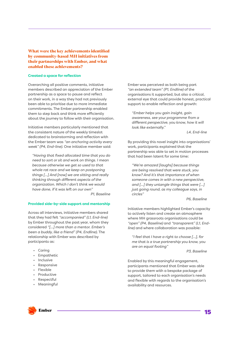What were the key achievements identified by community-based MH initiatives from their partnerships with Ember, and what enabled these achievements?

#### **Created a space for reflection**

Overarching all positive comments, initiative members described an appreciation of the Ember partnership as a space to pause and reflect on their work, in a way they had not previously been able to prioritise due to more immediate commitments. The Ember partnership enabled them to step back and think more efficiently about the journey to follow with their organisation.

Initiative members particularly mentioned that the consistent nature of the weekly timeslot dedicated to brainstorming and reflection with the Ember team was *"an anchoring activity every week" (P4, End-line)*. One initiative member said:

*"Having that fixed allocated time that you do need to sort or sit and work on things. I mean because otherwise we get so used to that whole rat race and we keep on postponing things […] And [now] we are sitting and really thinking through different aspects of the organization. Which I don't think we would have done, if it was left on our own" P1, Baseline*

#### **Provided side-by-side support and mentorship**

Across all interviews, initiative members shared that they had felt *"accompanied" (L1, End-line)*  by Ember throughout the past year, whom they considered *"[…] more than a mentor. Ember's been a buddy, like a friend" (P4, Endline)*. The relationship with Ember was described by participants as:

- Caring
- **Empathetic**
- **Inclusive**
- Responsive
- Flexible
- **Productive**
- **Respectful**
- Meaningful

Ember was perceived as both being part *"an extended team" (P1, Endline)* of the organisations it supported, but also a critical, external eye that could provide honest, practical support to enable reflection and growth:

*"Ember helps you gain insight, gain awareness, see your programme from a different perspective, you know, how it will look like externally."*

*L4, End-line*

By providing this novel insight into organisations' work, participants explained that the partnership was able to set in motion processes that had been latent for some time:

*"We're amazed [laughs] because things are being resolved that were stuck, you know? And it's that importance of when someone comes in with a new perspective, and […] they untangle things that were […] just going round, as my colleague says, in circles"*

#### *P6, Baseline*

Initiative members highlighted Ember's capacity to actively listen and create an atmosphere where MH grassroots organisations could be *"open" (P4, Baseline)* and *"transparent" (L1, Endline)* and where collaboration was possible:

*"I feel that I have a right to choose […], for me that is a true partnership you know, you are on equal footing"* 

*P3, Baseline*

Enabled by this meaningful engagement, participants mentioned that Ember was able to provide them with a bespoke package of support, tailored to each organisation's needs and flexible with regards to the organisation's availability and resources.

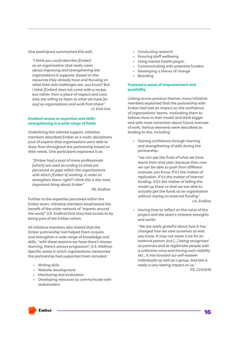One participant summarised this well:

*"I think you could describe [Ember] as an organization that really cares about improving and strengthening the organisations it supports, based on the resources they already have and focusing on what their real challenges are, you know? But I think [Ember] does not come with a recipe, but rather, from a place of respect and care, they are willing to listen to what we have [to say] as organisations and work from there" L1, End-line*

#### **Enabled access to expertise and skillsstrengthening in a wide range of fields**

Underlining this tailored support, initiative members described Ember as a multi-disciplinary pool of experts that organisations were able to draw from throughout the partnership based on their needs. One participant explained it as:

*"[Ember has] a pool of many professionals [which] are used according to what are perceived as gaps within the organizations with which [Ember is] working, in order to strengthen them, right? I think this is the most important thing about Ember"* 

*P6, Endline*

Further to the expertise perceived within the Ember team, initiative members emphasised the benefit of the wider network of *"experts around the world" (L5, Endline)* that they had access to by being part of the Ember cohort.

All initiative members also shared that the Ember partnership had helped them acquire and strengthen a wide range of knowledge and skills, *"with these sessions we have there's always learning, there's always progression" (L4, Midline)*. Specific areas in which organisations mentioned the partnership had supported them included:

- Writing skills
- Website development
- Monitoring and evaluation
- Developing resources to communicate with stakeholders
- Conducting research
- Ensuring staff wellbeing
- Using mental health jargon
- Communicating with potential funders
- Developing a theory of change
- **Branding**

#### **Fostered a sense of empowerment and possibility**

Linking across previous themes, many initiative members explained that the partnership with Ember had had an impact on the confidence of organisations' teams, motivating them to believe more in their model and think bigger and with more conviction about future avenues of work. Various elements were described as leading to this, including:

• Gaining confidence through learning and strengthening of skills during the partnership:

*"we can see the fruits of what we have learnt from that year, because then now we can be able to push from different avenues, you know, if it's the matter of replication, if it's the matter of internal funding, if it's the matter of selling the model up there so that we are able to actually get the funds as an organisation without relying on external funding" L4, Endline*

• Having time to reflect on the value of the project and the team's inherent strengths and worth:

*"We are really grateful about how it has changed how we view ourselves as well, you know. It may not mean a lot for an external person, but [...] being recognised as partners and as legitimate people with a collective voice and having such visibility etc., it has boosted our self-esteem individually as well as a group. And this is really a very lasting impact on us." P3, COVID19*

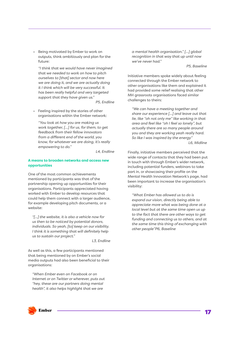• Being motivated by Ember to work on outputs, think ambitiously and plan for the future:

*"I think that we would have never imagined that we needed to work on how to pitch ourselves to [that] sector and now here we are doing it, and we are actually doing it I think which will be very successful. It has been really helpful and very targeted support that they have given us."*

*P5, Endline*

• Feeling inspired by the stories of other organisations within the Ember network:

*"You look at how you are making us work together, […] for us, for them, to get feedback from their fellow innovators from a different end of the world, you know, for whatever we are doing, it's really empowering to do."*

*L4, Endline*

#### **A means to broaden networks and access new opportunities**

One of the most common achievements mentioned by participants was that of the partnership opening up opportunities for their organisations. Participants appreciated having worked with Ember to develop resources that could help them connect with a larger audience, for example developing pitch documents, or a website:

*"[...] the website, it is also a vehicle now for us then to be noticed by potential donors, individuals. So yeah, [to] keep on our visibility. I think it is something that will definitely help us to sustain our project."*

*L3, Endline*

As well as this, a few participants mentioned that being mentioned by on Ember's social media outputs had also been beneficial to their organisations:

*"When Ember even on Facebook or on Internet or on Twitter or wherever, puts out "hey, these are our partners doing mental health", it also helps highlight that we are* 

*a mental health organisation." […] global recognition in that way that up until now we've never had."* 

*P5, Baseline*

Initiative members spoke widely about feeling connected through the Ember network to other organisations like them and explained it had provided some relief realising that other MH grassroots organisations faced similar challenges to theirs:

*"We can have a meeting together and share our experience […] and leave out that lie, like "oh not only me" like working in that area and feel like "oh I feel so lonely", but actually there are so many people around you and they are working yeah really hard. So like I was inspired by the energy" L6, Midline*

Finally, initiative members perceived that the wide range of contacts that they had been put in touch with through Ember's wider network, including potential funders, webinars to take part in, or showcasing their profile on the Mental Health Innovation Network's page, had been important to increase the organisation's visibility:

*"What Ember has allowed us to do is expand our vision, directly being able to appreciate more what was being done at a local level but at the same time open us up to the fact that there are other ways to get funding and connecting us to others, and at the same time this thing of exchanging with other people"P6, Baseline*

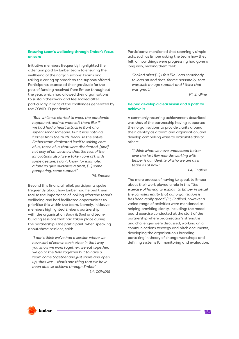#### **Ensuring team's wellbeing through Ember's focus on care**

Initiative members frequently highlighted the attention paid by Ember team to ensuring the wellbeing of their organisations' teams and taking a caring approach to the support offered. Participants expressed their gratitude for the pots of funding received from Ember throughout the year, which had allowed their organisations to sustain their work and feel looked after particularly in light of the challenges generated by the COVID-19 pandemic:

*"But, while we started to work, the pandemic happened, and we were left there like if we had had a heart attack in front of a supervisor or someone. But it was nothing further from the truth, because the entire Ember team dedicated itself to taking care of us, those of us that were disoriented. [And] not only of us, we know that the rest of the innovations also [were taken care of], with some gesture: I don't know, for example, a fund to give ourselves a treat, […] some pampering, some support"*

*P6, Endline*

Beyond this financial relief, participants spoke frequently about how Ember had helped them realise the importance of looking after the team's wellbeing and had facilitated opportunities to prioritise this within the team. Namely, initiative members highlighted Ember's partnership with the organisation Body & Soul and teambuilding sessions that had taken place during the partnership. One participant, when speaking about these sessions, said:

*"I don't think we've had a session where we have sort of known each other in that way, you know we work together, we eat together, we go to the field together but to have a team come together and just share and open up, that was… that's one thing that we have been able to achieve through Ember" L4, COVID19*

Participants mentioned that seemingly simple acts, such as Ember asking the team how they felt, or how things were progressing had gone a long way, making them feel:

*"looked after […] I felt like I had somebody to lean on and that, for me personally, that was such a huge support and I think that was great."*

*P1, Endline*

#### **Helped develop a clear vision and a path to achieve it**

A commonly recurring achievement described was that of the partnership having supported their organisations to provide clarity around their identity as a team and organisation, and develop compelling ways to articulate this to others:

*"I think what we have understood better over the last few months working with Ember is our identity of who we are as a team as of now."*

*P4, Endline*

The mere process of having to speak to Ember about their work played a role in this *"the exercise of having to explain to Ember in detail the complex entity that our organisation is has been really great" (L1, Endline)*, however a varied range of activities were mentioned as helping providing clarity, including: the mood board exercise conducted at the start of the partnership where organisation's strengths and challenges were discussed, working on a communications strategy and pitch documents, developing the organisation's branding, partaking in theory of change workshops and defining systems for monitoring and evaluation.

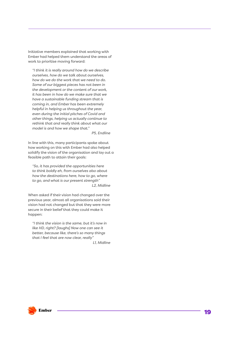Initiative members explained that working with Ember had helped them understand the areas of work to prioritise moving forward:

*"I think it is really around how do we describe ourselves, how do we talk about ourselves, how do we do the work that we need to do. Some of our biggest pieces has not been in the development or the content of our work, it has been in how do we make sure that we have a sustainable funding stream that is coming in, and Ember has been extremely helpful in helping us throughout the year, even during the initial pitches of Covid and other things, helping us actually continue to rethink that and really think about what our model is and how we shape that."*

*P5, Endline*

In line with this, many participants spoke about how working on this with Ember had also helped solidify the vision of the organisation and lay out a feasible path to attain their goals:

*"So, it has provided the opportunities here to think boldly eh, from ourselves also about how the destinations here, how to go, where to go, and what is our present strength" L2, Midline*

When asked if their vision had changed over the previous year, almost all organisations said their vision had not changed but that they were more secure in their belief that they could make it happen:

*"I think the vision is the same, but it's now in like HD, right? [laughs] Now one can see it better, because like, there's so many things that I feel that are now clear, really"*

*L1, Midline*

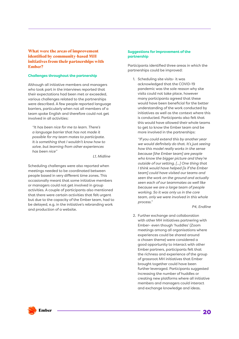# What were the areas of improvement identified by community-based MH initiatives from their partnerships with Ember?

#### **Challenges throughout the partnership**

Although all initiative members and managers who took part in the interviews reported that their expectations had been met or exceeded, various challenges related to the partnerships were described. A few people reported language barriers, particularly when not all members of a team spoke English and therefore could not get involved in all activities:

*"It has been nice for me to learn. There's a language barrier that has not made it possible for my team mates to participate. It is something that I wouldn't know how to solve, but learning from other experiences has been nice"*

*L1, Midline*

Scheduling challenges were also reported when meetings needed to be coordinated between people based in very different time zones. This occasionally meant that some initiative members or managers could not get involved in group activities. A couple of participants also mentioned that there were certain activities that felt urgent but due to the capacity of the Ember team, had to be delayed, e.g. in the initiative's rebranding work and production of a website.

#### **Suggestions for improvement of the partnership**

Participants identified three areas in which the partnerships could be improved:

1. Scheduling site visits- it was acknowledged that the COVID-19 pandemic was the sole reason why site visits could not take place, however many participants agreed that these would have been beneficial for the better understanding of the work conducted by initiatives as well as the context where this is conducted. Participants also felt that this would have allowed their whole teams to get to know the Ember team and be more involved in the partnerships:

*"If you could extend this by another year we would definitely do that. It's just seeing how this model really works in the sense because [the Ember team] are people who know the bigger picture and they're outside of our setting. [...] One thing that I think would have helped [is if the Ember team] could have visited our teams and seen the work on the ground and actually seen each of our teammates as well like because we are a large team of people working. So it was only us in the core team, only we were involved in this whole process."*

*P4, Endline*

2. Further exchange and collaboration with other MH initiatives partnering with Ember- even though 'huddles' (Zoom meetings among all organisations where experiences could be shared around a chosen theme) were considered a good opportunity to interact with other Ember partners, participants felt that the richness and experience of the group of grassroot MH initiatives that Ember brought together could have been further leveraged. Participants suggested increasing the number of huddles or creating new platforms where all initiative members and managers could interact and exchange knowledge and ideas.

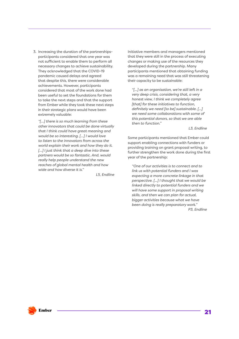3. Increasing the duration of the partnershipsparticipants considered that one year was not sufficient to enable them to perform all necessary changes to achieve sustainability. They acknowledged that the COVID-19 pandemic caused delays and agreed that despite this, there were considerable achievements. However, participants considered that most of the work done had been useful to set the foundations for them to take the next steps and that the support from Ember while they took these next steps in their strategic plans would have been extremely valuable:

*"[…] there is so much learning from these other innovators that could be done virtually that I think could have great meaning and would be so interesting. […] I would love to listen to the innovators from across the world explain their work and how they do it. […] I just think that a deep dive into these partners would be so fantastic. And, would really help people understand the new reaches of global mental health and how wide and how diverse it is."*

*L5, Endline*

Initiative members and managers mentioned that they were still in the process of executing changes or making use of the resources they developed during the partnership. Many participants mentioned that obtaining funding was a remaining need that was still threatening their capacity to be sustainable:

*"[...] as an organisation, we're still left in a very deep crisis, considering that, a very honest view, I think we completely agree [that] for these initiatives to function, definitely we need [to be] sustainable. [...] we need some collaborations with some of this potential donors, so that we are able then to function."*

*L3, Endline*

Some participants mentioned that Ember could support enabling connections with funders or providing training on grant proposal writing, to further strengthen the work done during the first year of the partnership:

*"One of our activities is to connect and to link us with potential funders and I was expecting a more concrete linkage in that perspective. [...] I thought that we would be linked directly to potential funders and we will have some support in proposal writing skills, and then we can plan for actual, bigger activities because what we have been doing is really preparatory work." P3, Endline*

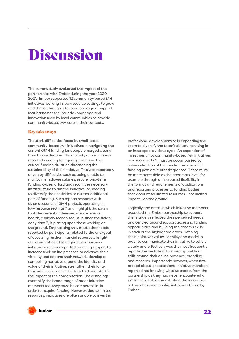# Discussion

The current study evaluated the impact of the partnerships with Ember during the year 2020- 2021. Ember supported 12 community-based MH initiatives working in low-resource settings to grow and thrive, through a tailored package of support that harnesses the intrinsic knowledge and innovation used by local communities to provide community-based MH care in their contexts.

#### Key takeaways

The stark difficulties faced by small-scale, community-based MH initiatives in navigating the current GMH funding landscape emerged clearly from this evaluation. The majority of participants reported needing to urgently overcome the critical funding situation threatening the sustainability of their initiative. This was reportedly driven by difficulties such as being unable to maintain employee salaries, secure long-term funding cycles, afford and retain the necessary infrastructure to run the initiative, or needing to diversify their activities to attract additional pots of funding. Such reports resonate with other accounts of GMH projects operating in low-resource settings<sup>23</sup> and highlight the strain that the current underinvestment in mental health, a widely recognised issue since the field's early days<sup>24</sup>, is placing upon those working on the ground. Emphasising this, most other needs reported by participants related to the end-goal of accessing further financial resources. In light of the urgent need to engage new partners, initiative members reported requiring support to increase their online presence to advance their visibility and expand their network, develop a compelling narrative around the identity and value of their initiative, strengthen their longterm vision, and generate data to demonstrate the impact of their organisation. These findings exemplify the broad range of areas initiative members feel they must be competent in, in order to acquire funding. However, due to limited resources, initiatives are often unable to invest in

professional development or in expanding the team to diversify the team's skillset, resulting in an inescapable vicious cycle. An expansion of investment into community-based MH initiatives across contexts25, must be accompanied by a diversification of the mechanisms by which funding pots are currently granted. These must be more accessible at the grassroots level, for example through an increased flexibility in the format and requirements of applications and reporting processes to funding bodies that account for limited resources - not limited impact - on the ground.

Logically, the areas in which initiative members expected the Ember partnership to support them largely reflected their perceived needs and centred around support accessing funding opportunities and building their team's skills in each of the highlighted areas. Defining their initiatives values, identity and model in order to communicate their initiative to others clearly and effectively was the most frequently reported expectation, followed by building skills around their online presence, branding, and research. Importantly however, when first probed about expectations, initiative members reported not knowing what to expect from the partnership as they had never encountered a similar concept, demonstrating the innovative nature of the mentorship initiative offered by Ember.

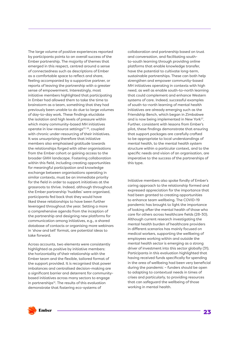The large volume of positive experiences reported by participants points to an overall success of the Ember partnership. The majority of themes that emerged in this respect, centred around a sense of connectedness such as descriptions of Ember as a comfortable space to reflect and share, feeling accompanied by a supportive partner, or reports of leaving the partnership with a greater sense of empowerment. Interestingly, most initiative members highlighted that participating in Ember had allowed them to take the time to brainstorm as a team, something that they had previously been unable to do due to large volumes of day-to-day work. These findings elucidate the isolation and high levels of pressure within which many community-based MH initiatives operate in low-resource settings<sup>23, 26</sup>, coupled with chronic under-resourcing of their initiatives. It was unsurprising therefore that initiative members also emphasised gratitude towards the relationships forged with other organisations from the Ember cohort or gaining access to the broader GMH landscape. Fostering collaboration within this field, including creating opportunities for meaningful participation and knowledge exchange between organisations operating in similar contexts, must be an immediate priority for the field in order to support initiatives at the grassroots to thrive. Indeed, although throughout the Ember partnership 'huddles' were organised, participants fed back that they would have liked these relationships to have been further leveraged throughout the year. Setting a more a comprehensive agenda from the inception of the partnership and designing new platforms for communication among initiatives, e.g., a shared database of contacts or organising more webinars in 'show and tell' format, are potential ideas to take forward.

Across accounts, two elements were consistently highlighted as positive by initiative members: the horizontality of their relationship with the Ember team and the flexible, tailored format of the support provided. It is recognised that power imbalances and centralised decision-making are a significant barrier and deterrent for communitybased initiatives across many sectors to engage in partnerships<sup>12</sup>. The results of this evaluation demonstrate that fostering eco-systems of

collaboration and partnership based on trust and conversation, and facilitating southto-south learning through providing online platforms that enable knowledge transfer, have the potential to cultivate long-term, sustainable partnerships. These can both help strengthen and empower community-based MH initiatives operating in contexts with high need, as well as enable south-to-north learning that could complement and enhance Western systems of care. Indeed, successful examples of south-to-north learning of mental health initiatives are already emerging such as the Friendship Bench, which began in Zimbabwe and is now being implemented in New York<sup>27</sup>. Further, consistent with lessons from Ember's pilot, these findings demonstrate that ensuring that support packages are carefully crafted to be appropriate to local understandings of mental health, to the mental health system structure within a particular context, and to the specific needs and vision of an organisation, are imperative to the success of the partnerships of this type.

Initiative members also spoke fondly of Ember's caring approach to the relationship formed and expressed appreciation for the importance that had been granted to creating opportunities to enhance team wellbeing. The COVID-19 pandemic has brought to light the importance of looking after the mental health of those who care for others across healthcare fields (28-30). Although current research investigating the mental health burden of healthcare providers in different scenarios has mainly focused on medical workers, supporting the wellbeing of employees working within and outside the mental health sector is emerging as a strong driver of investment into this sector globally (31). Participants in this evaluation highlighted that having received funds specifically for spending in the area of wellbeing had been very beneficial during the pandemic – funders should be open to adapting to contextual needs in times of crises and particularly, to providing resources that can safeguard the wellbeing of those working in mental health.

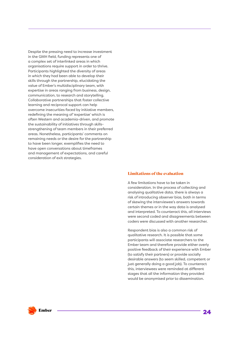Despite the pressing need to increase investment in the GMH field, funding represents one of a complex set of interlinked areas in which organisations require support in order to thrive. Participants highlighted the diversity of areas in which they had been able to develop their skills through the partnership, elucidating the value of Ember's multidisciplinary team, with expertise in areas ranging from business, design, communication, to research and storytelling. Collaborative partnerships that foster collective learning and reciprocal support can help overcome insecurities faced by initiative members, redefining the meaning of 'expertise' which is often Western and academia-driven, and promote the sustainability of initiatives through skillsstrengthening of team members in their preferred areas. Nonetheless, participants' comments on remaining needs or the desire for the partnership to have been longer, exemplifies the need to have open conversations about timeframes and management of expectations, and careful consideration of exit strategies.

### Limitations of the evaluation

A few limitations have to be taken in consideration. In the process of collecting and analysing qualitative data, there is always a risk of introducing observer bias, both in terms of skewing the interviewee's answers towards certain themes or in the way data is analysed and interpreted. To counteract this, all interviews were second coded and disagreements between coders were discussed with another researcher.

Respondent bias is also a common risk of qualitative research. It is possible that some participants will associate researchers to the Ember team and therefore provide either overly positive feedback of their experience with Ember (to satisfy their partners) or provide socially desirable answers (to seem skilled, competent or just generally doing a good job). To counteract this, interviewees were reminded at different stages that all the information they provided would be anonymised prior to dissemination.



24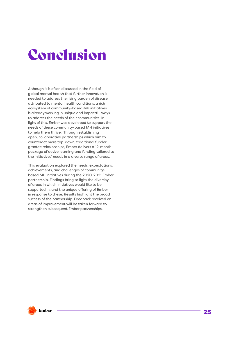# Conclusion

Although it is often discussed in the field of global mental health that further innovation is needed to address the rising burden of disease attributed to mental health conditions, a rich ecosystem of community-based MH initiatives is already working in unique and impactful ways to address the needs of their communities. In light of this, Ember was developed to support the needs of these community-based MH initiatives to help them thrive. Through establishing open, collaborative partnerships which aim to counteract more top-down, traditional fundergrantee relationships, Ember delivers a 12-month package of active learning and funding tailored to the initiatives' needs in a diverse range of areas.

This evaluation explored the needs, expectations, achievements, and challenges of communitybased MH initiatives during the 2020-2021 Ember partnership. Findings bring to light the diversity of areas in which initiatives would like to be supported in, and the unique offering of Ember in response to these. Results highlight the broad success of the partnership. Feedback received on areas of improvement will be taken forward to strengthen subsequent Ember partnerships.

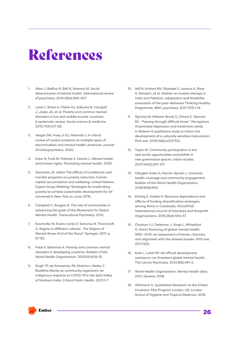# References

- 1. Allen J, Balfour R, Bell R, Marmot M. Social determinants of mental health. International review of psychiatry. 2014;26(4):392-407.
- 2. Lund C, Breen A, Flisher AJ, Kakuma R, Corrigall J, Joska JA, et al. Poverty and common mental disorders in low and middle income countries: A systematic review. Social science & medicine. 2010;71(3):517-28.
- 3. Vargas SM, Huey Jr SJ, Miranda J. A critical review of current evidence on multiple types of discrimination and mental health. American Journal of Orthopsychiatry. 2020.
- 4. Drew N, Funk M, Pathare S, Swartz L. Mental health and human rights. Promoting mental health. 2005.
- 5. Saavedra JE, editor The effects of conditional cash transfer programs on poverty reduction, human capital accumulation and wellbeing. United Nations Expert Group Meeting:"Strategies for eradicating poverty to achieve sustainable development for all" convened in New York on June; 2016.
- 6. Campbell C, Burgess R. The role of communities in advancing the goals of the Movement for Global Mental Health. Transcultural Psychiatry. 2012.
- 7. Koschorke M, Evans-Lacko S, Sartorius N, Thornicroft G. Stigma in different cultures. The Stigma of Mental Illness-End of the Story?: Springer; 2017. p. 67-82.
- 8. Patel V, Kleinman A. Poverty and common mental disorders in developing countries. Bulletin of the World Health Organization. 2003;81:609-15.
- 9. Singh TP, de Schweinitz PA, Khanna I, Norbu C. Buddhist Monks as community organizers: an indigenous response to COVID-19 in the Spiti Valley of Northern India. Critical Public Health. 2021:1-7
- 10. Atif N, Krishna RN, Sikander S, Lazarus A, Nisar A, Ahmad I, et al. Mother-to-mother therapy in India and Pakistan: adaptation and feasibility evaluation of the peer-delivered Thinking Healthy Programme. BMC psychiatry. 2017;17(1):1-14.
- 11. Ng'oma M, Meltzer-Brody S, Chirwa E, Stewart RC. "Passing through difficult times": Perceptions of perinatal depression and treatment needs in Malawi-A qualitative study to inform the development of a culturally sensitive intervention. PloS one. 2019;14(6):e0217102.
- 12. Taylor M. Community participation in the real world: opportunities and pitfalls in new governance spaces. Urban studies. 2007;44(2):297-317.
- 13. Odugleh-Kolev A, Parrish-Sprowl J. Universal health coverage and community engagement. Bulletin of the World Health Organization. 2018;96(9):660.
- 14. Khieng S, Dahles H. Resource dependence and effects of funding diversification strategies among NGOs in Cambodia. VOLUNTAS: International Journal of Voluntary and Nonprofit Organizations. 2015;26(4):1412-37.
- 15. Charlson FJ, Dieleman J, Singh L, Whiteford H. Donor financing of global mental health, 1995—2015: an assessment of trends, channels, and alignment with the disease burden. PloS one. 2017;12(1).
- 16. Kola L, Luitel NP. UK official development assistance cut threatens global mental health. The Lancet Psychiatry. 2021;8(6):461-2.
- 17. World Health Organization. Mental health atlas 2017. Geneva; 2018.
- 18. Whitmore G. Qualitative Research on the Ember Incubator Pilot Program London, UK: London School of Hygiene and Tropical Medicine; 2018.